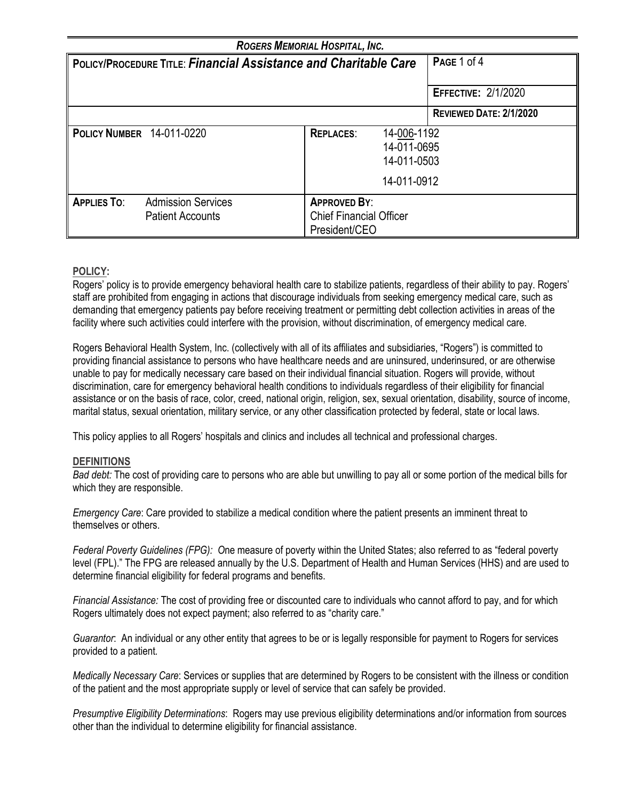| ROGERS MEMORIAL HOSPITAL, INC.                                          |                                                      |                                                                        |                                                          |                            |  |
|-------------------------------------------------------------------------|------------------------------------------------------|------------------------------------------------------------------------|----------------------------------------------------------|----------------------------|--|
| <b>POLICY/PROCEDURE TITLE: Financial Assistance and Charitable Care</b> |                                                      |                                                                        |                                                          | PAGE 1 of 4                |  |
|                                                                         |                                                      |                                                                        |                                                          | <b>EFFECTIVE: 2/1/2020</b> |  |
|                                                                         |                                                      |                                                                        |                                                          | REVIEWED DATE: 2/1/2020    |  |
| <b>POLICY NUMBER 14-011-0220</b>                                        |                                                      | <b>REPLACES:</b>                                                       | 14-006-1192<br>14-011-0695<br>14-011-0503<br>14-011-0912 |                            |  |
| <b>APPLIES TO:</b>                                                      | <b>Admission Services</b><br><b>Patient Accounts</b> | <b>APPROVED BY:</b><br><b>Chief Financial Officer</b><br>President/CEO |                                                          |                            |  |

# **POLICY:**

Rogers' policy is to provide emergency behavioral health care to stabilize patients, regardless of their ability to pay. Rogers' staff are prohibited from engaging in actions that discourage individuals from seeking emergency medical care, such as demanding that emergency patients pay before receiving treatment or permitting debt collection activities in areas of the facility where such activities could interfere with the provision, without discrimination, of emergency medical care.

Rogers Behavioral Health System, Inc. (collectively with all of its affiliates and subsidiaries, "Rogers") is committed to providing financial assistance to persons who have healthcare needs and are uninsured, underinsured, or are otherwise unable to pay for medically necessary care based on their individual financial situation. Rogers will provide, without discrimination, care for emergency behavioral health conditions to individuals regardless of their eligibility for financial assistance or on the basis of race, color, creed, national origin, religion, sex, sexual orientation, disability, source of income, marital status, sexual orientation, military service, or any other classification protected by federal, state or local laws.

This policy applies to all Rogers' hospitals and clinics and includes all technical and professional charges.

### **DEFINITIONS**

*Bad debt:* The cost of providing care to persons who are able but unwilling to pay all or some portion of the medical bills for which they are responsible.

*Emergency Care*: Care provided to stabilize a medical condition where the patient presents an imminent threat to themselves or others.

*Federal Poverty Guidelines (FPG): O*ne measure of poverty within the United States; also referred to as "federal poverty level (FPL)." The FPG are released annually by the U.S. Department of Health and Human Services (HHS) and are used to determine financial eligibility for federal programs and benefits.

*Financial Assistance:* The cost of providing free or discounted care to individuals who cannot afford to pay, and for which Rogers ultimately does not expect payment; also referred to as "charity care."

*Guarantor*: An individual or any other entity that agrees to be or is legally responsible for payment to Rogers for services provided to a patient*.*

*Medically Necessary Care*: Services or supplies that are determined by Rogers to be consistent with the illness or condition of the patient and the most appropriate supply or level of service that can safely be provided.

*Presumptive Eligibility Determinations*: Rogers may use previous eligibility determinations and/or information from sources other than the individual to determine eligibility for financial assistance.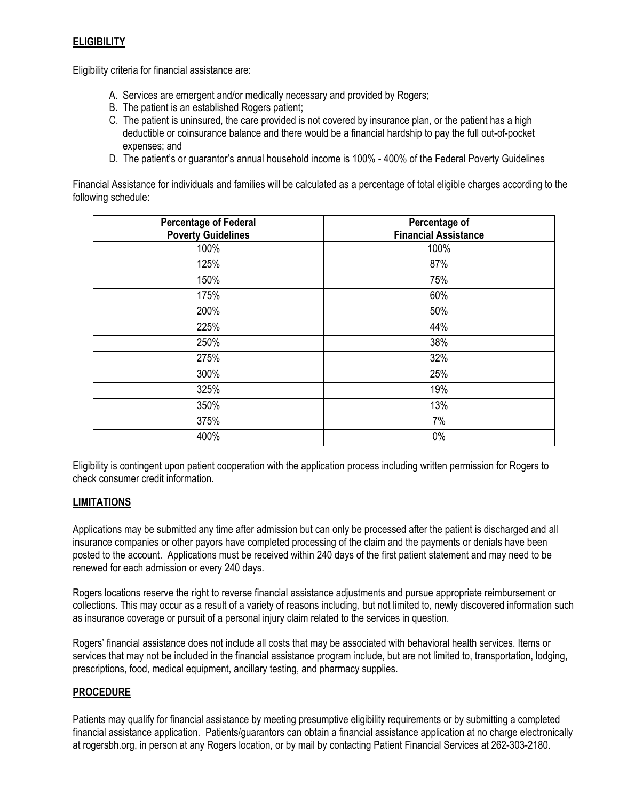# **ELIGIBILITY**

Eligibility criteria for financial assistance are:

- A. Services are emergent and/or medically necessary and provided by Rogers;
- B. The patient is an established Rogers patient;
- C. The patient is uninsured, the care provided is not covered by insurance plan, or the patient has a high deductible or coinsurance balance and there would be a financial hardship to pay the full out-of-pocket expenses; and
- D. The patient's or guarantor's annual household income is 100% 400% of the Federal Poverty Guidelines

Financial Assistance for individuals and families will be calculated as a percentage of total eligible charges according to the following schedule:

| <b>Percentage of Federal</b><br><b>Poverty Guidelines</b> | Percentage of<br><b>Financial Assistance</b> |
|-----------------------------------------------------------|----------------------------------------------|
| 100%                                                      | 100%                                         |
| 125%                                                      | 87%                                          |
| 150%                                                      | 75%                                          |
| 175%                                                      | 60%                                          |
| 200%                                                      | 50%                                          |
| 225%                                                      | 44%                                          |
| 250%                                                      | 38%                                          |
| 275%                                                      | 32%                                          |
| 300%                                                      | 25%                                          |
| 325%                                                      | 19%                                          |
| 350%                                                      | 13%                                          |
| 375%                                                      | 7%                                           |
| 400%                                                      | 0%                                           |

Eligibility is contingent upon patient cooperation with the application process including written permission for Rogers to check consumer credit information.

#### **LIMITATIONS**

Applications may be submitted any time after admission but can only be processed after the patient is discharged and all insurance companies or other payors have completed processing of the claim and the payments or denials have been posted to the account. Applications must be received within 240 days of the first patient statement and may need to be renewed for each admission or every 240 days.

Rogers locations reserve the right to reverse financial assistance adjustments and pursue appropriate reimbursement or collections. This may occur as a result of a variety of reasons including, but not limited to, newly discovered information such as insurance coverage or pursuit of a personal injury claim related to the services in question.

Rogers' financial assistance does not include all costs that may be associated with behavioral health services. Items or services that may not be included in the financial assistance program include, but are not limited to, transportation, lodging, prescriptions, food, medical equipment, ancillary testing, and pharmacy supplies.

### **PROCEDURE**

Patients may qualify for financial assistance by meeting presumptive eligibility requirements or by submitting a completed financial assistance application. Patients/guarantors can obtain a financial assistance application at no charge electronically at rogersbh.org, in person at any Rogers location, or by mail by contacting Patient Financial Services at 262-303-2180.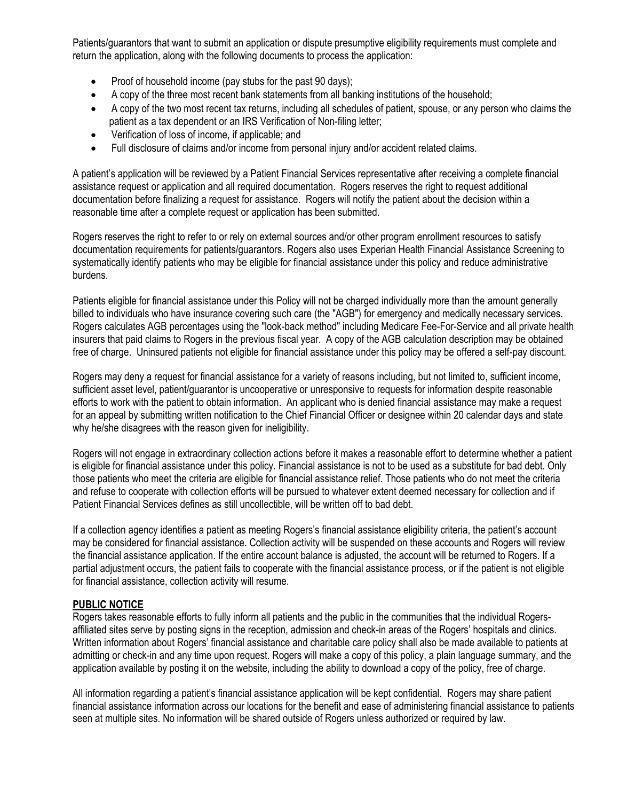Patients/guarantors that want to submit an application or dispute presumptive eligibility requirements must complete and return the application, along with the following documents to process the application:

- Proof of household income (pay stubs for the past 90 days);
- A copy of the three most recent bank statements from all banking institutions of the household;
- A copy of the two most recent tax returns, including all schedules of patient, spouse, or any person who claims the patient as a tax dependent or an IRS Verification of Non-filing letter;
- Verification of loss of income, if applicable; and
- Full disclosure of claims and/or income from personal injury and/or accident related claims.

A patient's application will be reviewed by a Patient Financial Services representative after receiving a complete financial assistance request or application and all required documentation. Rogers reserves the right to request additional documentation before finalizing a request for assistance. Rogers will notify the patient about the decision within a reasonable time after a complete request or application has been submitted.

Rogers reserves the right to refer to or rely on external sources and/or other program enrollment resources to satisfy documentation requirements for patients/guarantors. Rogers also uses Experian Health Financial Assistance Screening to systematically identify patients who may be eligible for financial assistance under this policy and reduce administrative burdens.

Patients eligible for financial assistance under this Policy will not be charged individually more than the amount generally billed to individuals who have insurance covering such care (the "AGB") for emergency and medically necessary services. Rogers calculates AGB percentages using the "look-back method" including Medicare Fee-For-Service and all private health insurers that paid claims to Rogers in the previous fiscal year. A copy of the AGB calculation description may be obtained free of charge. Uninsured patients not eligible for financial assistance under this policy may be offered a self-pay discount.

Rogers may deny a request for financial assistance for a variety of reasons including, but not limited to, sufficient income, sufficient asset level, patient/guarantor is uncooperative or unresponsive to requests for information despite reasonable efforts to work with the patient to obtain information. An applicant who is denied financial assistance may make a request for an appeal by submitting written notification to the Chief Financial Officer or designee within 20 calendar days and state why he/she disagrees with the reason given for ineligibility.

Rogers will not engage in extraordinary collection actions before it makes a reasonable effort to determine whether a patient is eligible for financial assistance under this policy. Financial assistance is not to be used as a substitute for bad debt. Only those patients who meet the criteria are eligible for financial assistance relief. Those patients who do not meet the criteria and refuse to cooperate with collection efforts will be pursued to whatever extent deemed necessary for collection and if Patient Financial Services defines as still uncollectible, will be written off to bad debt.

If a collection agency identifies a patient as meeting Rogers's financial assistance eligibility criteria, the patient's account may be considered for financial assistance. Collection activity will be suspended on these accounts and Rogers will review the financial assistance application. If the entire account balance is adjusted, the account will be returned to Rogers. If a partial adjustment occurs, the patient fails to cooperate with the financial assistance process, or if the patient is not eligible for financial assistance, collection activity will resume.

### **PUBLIC NOTICE**

Rogers takes reasonable efforts to fully inform all patients and the public in the communities that the individual Rogersaffiliated sites serve by posting signs in the reception, admission and check-in areas of the Rogers' hospitals and clinics. Written information about Rogers' financial assistance and charitable care policy shall also be made available to patients at admitting or check-in and any time upon request. Rogers will make a copy of this policy, a plain language summary, and the application available by posting it on the website, including the ability to download a copy of the policy, free of charge.

All information regarding a patient's financial assistance application will be kept confidential. Rogers may share patient financial assistance information across our locations for the benefit and ease of administering financial assistance to patients seen at multiple sites. No information will be shared outside of Rogers unless authorized or required by law.